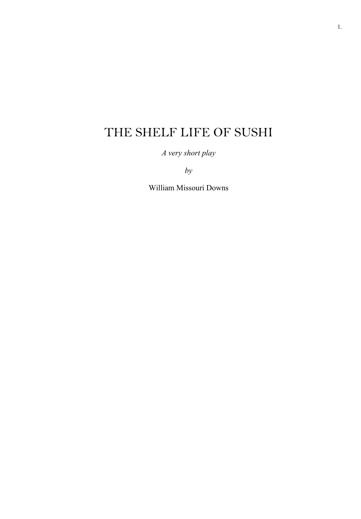# THE SHELF LIFE OF SUSHI

*A very short play* 

*by*

William Missouri Downs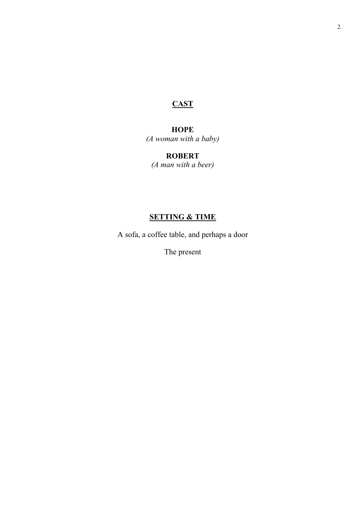# **CAST**

## **HOPE**

*(A woman with a baby)*

# **ROBERT**

*(A man with a beer)*

# **SETTING & TIME**

A sofa, a coffee table, and perhaps a door

The present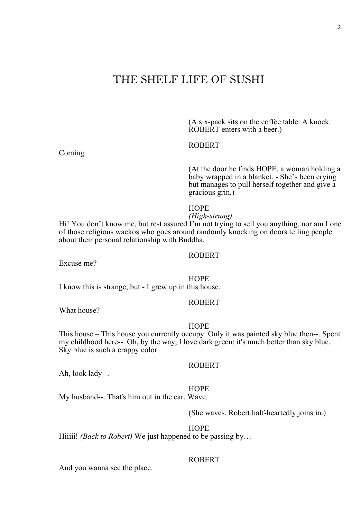# THE SHELF LIFE OF SUSHI

(A six-pack sits on the coffee table. A knock. ROBERT enters with a beer.)

#### ROBERT

(At the door he finds HOPE, a woman holding a baby wrapped in a blanket. - She's been crying but manages to pull herself together and give a gracious grin.)

#### **HOPE**

*(High-strung)* Hi! You don't know me, but rest assured I'm not trying to sell you anything, nor am I one of those religious wackos who goes around randomly knocking on doors telling people about their personal relationship with Buddha.

#### ROBERT

Excuse me?

**HOPE** 

I know this is strange, but - I grew up in this house.

#### ROBERT

What house?

#### **HOPE**

This house – This house you currently occupy. Only it was painted sky blue then--. Spent my childhood here--. Oh, by the way, I love dark green; it's much better than sky blue. Sky blue is such a crappy color.

#### ROBERT

Ah, look lady--.

#### HOPE

My husband--. That's him out in the car. Wave.

(She waves. Robert half-heartedly joins in.)

HOPE

Hiiiii! *(Back to Robert)* We just happened to be passing by...

#### ROBERT

And you wanna see the place.

Coming.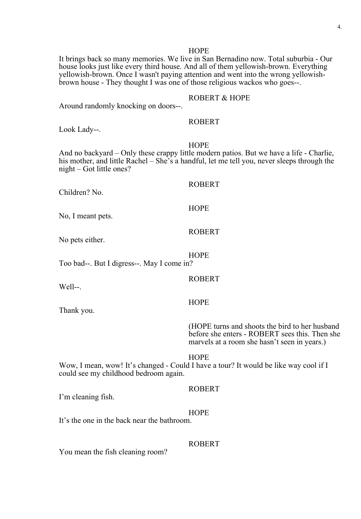It brings back so many memories. We live in San Bernadino now. Total suburbia - Our house looks just like every third house. And all of them yellowish-brown. Everything yellowish-brown. Once I wasn't paying attention and went into the wrong yellowish- brown house - They thought I was one of those religious wackos who goes--.

#### ROBERT & HOPE

Around randomly knocking on doors--.

#### ROBERT

Look Lady--.

#### **HOPE**

And no backyard – Only these crappy little modern patios. But we have a life - Charlie, his mother, and little Rachel – She's a handful, let me tell you, never sleeps through the night – Got little ones?

ROBERT

ROBERT

ROBERT

**HOPE** 

**HOPE** 

Children? No.

No, I meant pets.

No pets either.

Too bad--. But I digress--. May I come in?

Well--.

**HOPE** 

Thank you.

(HOPE turns and shoots the bird to her husband before she enters - ROBERT sees this. Then she marvels at a room she hasn't seen in years.)

#### HOPE

Wow, I mean, wow! It's changed - Could I have a tour? It would be like way cool if I could see my childhood bedroom again.

I'm cleaning fish.

# ROBERT

**HOPE** It's the one in the back near the bathroom.

ROBERT

You mean the fish cleaning room?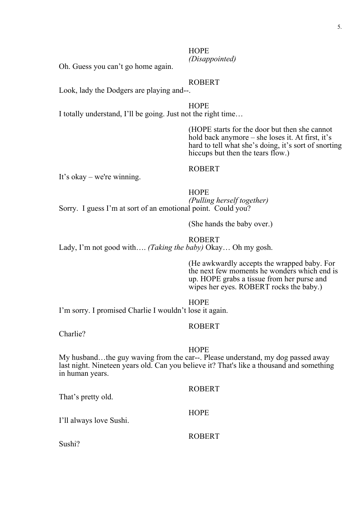### **HOPE** *(Disappointed)*

Oh. Guess you can't go home again.

#### ROBERT

Look, lady the Dodgers are playing and--.

**HOPE** 

I totally understand, I'll be going. Just not the right time…

(HOPE starts for the door but then she cannot hold back anymore – she loses it. At first, it's hard to tell what she's doing, it's sort of snorting hiccups but then the tears flow.)

#### ROBERT

It's okay – we're winning.

# **HOPE**

*(Pulling herself together)* Sorry. I guess I'm at sort of an emotional point. Could you?

(She hands the baby over.)

#### ROBERT

Lady, I'm not good with…. *(Taking the baby)* Okay… Oh my gosh.

(He awkwardly accepts the wrapped baby. For the next few moments he wonders which end is up. HOPE grabs a tissue from her purse and wipes her eyes. ROBERT rocks the baby.)

HOPE

I'm sorry. I promised Charlie I wouldn't lose it again.

#### ROBERT

Charlie?

#### **HOPE**

My husband…the guy waving from the car--. Please understand, my dog passed away last night. Nineteen years old. Can you believe it? That's like a thousand and something in human years.

That's pretty old.

I'll always love Sushi.

#### ROBERT

**HOPE** 

ROBERT

Sushi?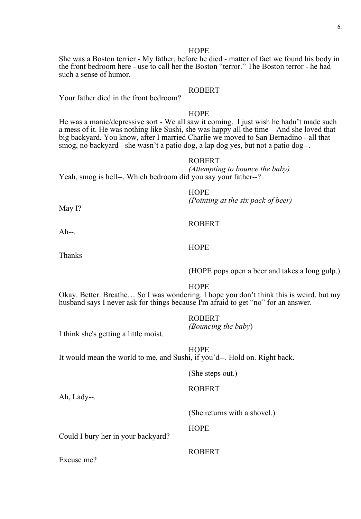She was a Boston terrier - My father, before he died - matter of fact we found his body in the front bedroom here - use to call her the Boston "terror." The Boston terror - he had such a sense of humor.

#### ROBERT

Your father died in the front bedroom?

#### **HOPE**

He was a manic/depressive sort - We all saw it coming. I just wish he hadn't made such a mess of it. He was nothing like Sushi, she was happy all the time – And she loved that big backyard. You know, after I married Charlie we moved to San Bernadino - all that smog, no backyard - she wasn't a patio dog, a lap dog yes, but not a patio dog--.

#### ROBERT

*(Attempting to bounce the baby)* Yeah, smog is hell--. Which bedroom did you say your father--?

**HOPE** 

*(Pointing at the six pack of beer)* May I?

#### ROBERT

 $Ah--$ .

#### **HOPE**

Thanks

(HOPE pops open a beer and takes a long gulp.)

#### HOPE

Okay. Better. Breathe… So I was wondering. I hope you don't think this is weird, but my husband says I never ask for things because I'm afraid to get "no" for an answer.

#### ROBERT

*(Bouncing the baby*)

I think she's getting a little moist.

**HOPE** It would mean the world to me, and Sushi, if you'd--. Hold on. Right back.

(She steps out.)

Ah, Lady--.

(She returns with a shovel.)

**HOPE** 

Could I bury her in your backyard?

Excuse me?

ROBERT

ROBERT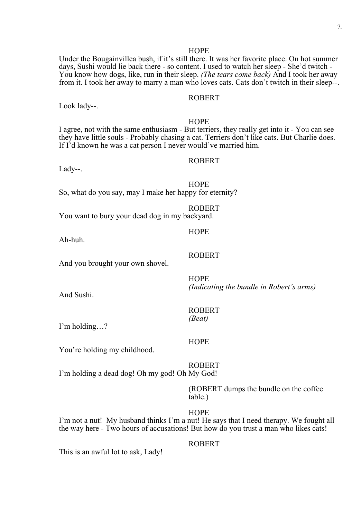Under the Bougainvillea bush, if it's still there. It was her favorite place. On hot summer days, Sushi would lie back there - so content. I used to watch her sleep - She'd twitch - You know how dogs, like, run in their sleep. *(The tears come back)* And I took her away from it. I took her away to marry a man who loves cats. Cats don't twitch in their sleep--.

#### ROBERT

Look lady--.

#### **HOPE**

I agree, not with the same enthusiasm - But terriers, they really get into it - You can see they have little souls - Probably chasing a cat. Terriers don't like cats. But Charlie does. If I'd known he was a cat person I never would've married him.

#### ROBERT

Lady--.

#### **HOPE**

So, what do you say, may I make her happy for eternity?

ROBERT

ROBERT

**HOPE** 

You want to bury your dead dog in my backyard.

#### **HOPE**

Ah-huh.

And you brought your own shovel.

And Sushi.

#### ROBERT *(Beat)*

I'm holding…?

You're holding my childhood.

#### ROBERT

**HOPE** 

I'm holding a dead dog! Oh my god! Oh My God!

(ROBERT dumps the bundle on the coffee table.)

*(Indicating the bundle in Robert's arms)* 

HOPE

I'm not a nut! My husband thinks I'm a nut! He says that I need therapy. We fought all the way here - Two hours of accusations! But how do you trust a man who likes cats!

This is an awful lot to ask, Lady!

#### ROBERT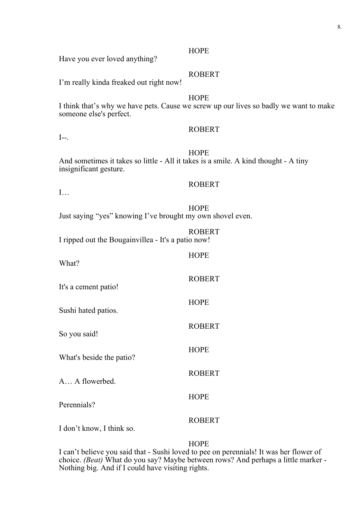Have you ever loved anything?

#### ROBERT

I'm really kinda freaked out right now!

#### **HOPE**

I think that's why we have pets. Cause we screw up our lives so badly we want to make someone else's perfect.

### ROBERT

 $I--$ .

#### **HOPE**

And sometimes it takes so little - All it takes is a smile. A kind thought - A tiny insignificant gesture.

#### ROBERT

**HOPE** 

**HOPE** 

**HOPE** 

ROBERT

ROBERT

ROBERT

I…

**HOPE** Just saying "yes" knowing I've brought my own shovel even.

|                                                    | <b>ROBERT</b> |
|----------------------------------------------------|---------------|
| I ripped out the Bougainvillea - It's a patio now! |               |

What?

It's a cement patio!

Sushi hated patios.

So you said!

What's beside the patio?

A… A flowerbed.

Perennials?

ROBERT

**HOPE** 

I don't know, I think so.

#### **HOPE**

I can't believe you said that - Sushi loved to pee on perennials! It was her flower of choice. *(Beat)* What do you say? Maybe between rows? And perhaps a little marker - Nothing big. And if I could have visiting rights.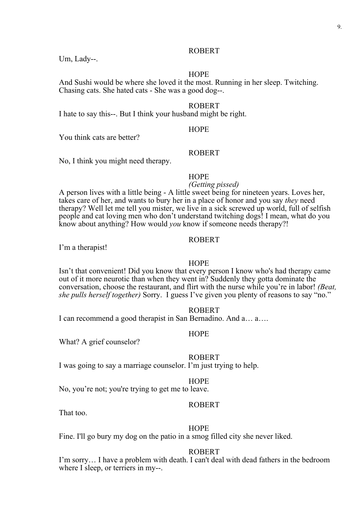#### ROBERT

Um, Lady--.

#### **HOPE**

And Sushi would be where she loved it the most. Running in her sleep. Twitching. Chasing cats. She hated cats - She was a good dog--.

#### ROBERT

I hate to say this--. But I think your husband might be right.

#### HOPE

You think cats are better?

#### ROBERT

No, I think you might need therapy.

#### **HOPE**

*(Getting pissed)* A person lives with a little being - A little sweet being for nineteen years. Loves her, takes care of her, and wants to bury her in a place of honor and you say *they* need therapy? Well let me tell you mister, we live in a sick screwed up world, full of selfish people and cat loving men who don't understand twitching dogs! I mean, what do you know about anything? How would *you* know if someone needs therapy?!

### ROBERT

I'm a therapist!

#### **HOPE**

Isn't that convenient! Did you know that every person I know who's had therapy came out of it more neurotic than when they went in? Suddenly they gotta dominate the conversation, choose the restaurant, and flirt with the nurse while you're in labor! *(Beat, she pulls herself together)* Sorry. I guess I've given you plenty of reasons to say "no."

#### ROBERT

I can recommend a good therapist in San Bernadino. And a… a….

#### **HOPE**

What? A grief counselor?

#### ROBERT

I was going to say a marriage counselor. I'm just trying to help.

#### HOPE

No, you're not; you're trying to get me to leave.

#### ROBERT

That too.

#### HOPE

Fine. I'll go bury my dog on the patio in a smog filled city she never liked.

#### ROBERT

I'm sorry… I have a problem with death. I can't deal with dead fathers in the bedroom where I sleep, or terriers in my--.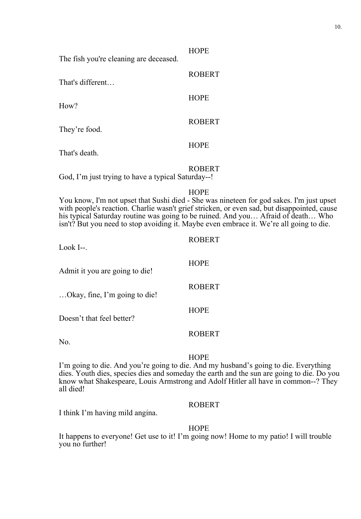The fish you're cleaning are deceased.

That's different…

How?

They're food.

That's death.

ROBERT

**HOPE** 

**HOPE** 

**HOPE** 

ROBERT

ROBERT

God, I'm just trying to have a typical Saturday--!

#### HOPE

You know, I'm not upset that Sushi died - She was nineteen for god sakes. I'm just upset with people's reaction. Charlie wasn't grief stricken, or even sad, but disappointed, cause his typical Saturday routine was going to be ruined. And you... Afraid of death... Who isn't? But you need to stop avoiding it. Maybe even embrace it. We're all going to die.

| Look I--.                      | <b>ROBERT</b> |
|--------------------------------|---------------|
| Admit it you are going to die! | <b>HOPE</b>   |
| Okay, fine, I'm going to die!  | <b>ROBERT</b> |
| Doesn't that feel better?      | <b>HOPE</b>   |
| No.                            | <b>ROBERT</b> |

#### **HOPE**

I'm going to die. And you're going to die. And my husband's going to die. Everything dies. Youth dies, species dies and someday the earth and the sun are going to die. Do you know what Shakespeare, Louis Armstrong and Adolf Hitler all have in common--? They all died!

#### ROBERT

I think I'm having mild angina.

HOPE

It happens to everyone! Get use to it! I'm going now! Home to my patio! I will trouble you no further!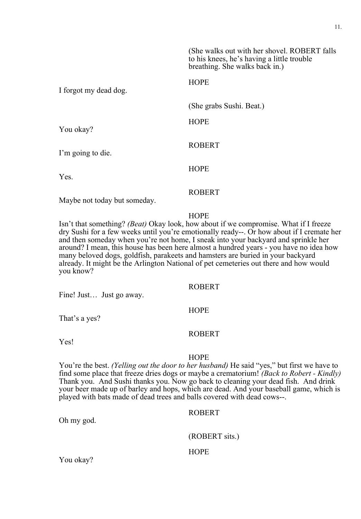|                       | (She walks out with her shovel. ROBERT falls)<br>to his knees, he's having a little trouble<br>breathing. She walks back in.) |
|-----------------------|-------------------------------------------------------------------------------------------------------------------------------|
| I forgot my dead dog. | <b>HOPE</b>                                                                                                                   |
|                       | (She grabs Sushi. Beat.)                                                                                                      |
| You okay?             | <b>HOPE</b>                                                                                                                   |
| I'm going to die.     | <b>ROBERT</b>                                                                                                                 |
| Yes.                  | <b>HOPE</b>                                                                                                                   |
|                       | ROBERT                                                                                                                        |

Maybe not today but someday.

#### **HOPE**

Isn't that something? *(Beat)* Okay look, how about if we compromise. What if I freeze dry Sushi for a few weeks until you're emotionally ready--. Or how about if I cremate her and then someday when you're not home, I sneak into your backyard and sprinkle her around? I mean, this house has been here almost a hundred years - you have no idea how many beloved dogs, goldfish, parakeets and hamsters are buried in your backyard already. It might be the Arlington National of pet cemeteries out there and how would you know?

#### ROBERT

Fine! Just… Just go away.

That's a yes?

#### ROBERT

**HOPE** 

Yes!

#### HOPE

You're the best. *(Yelling out the door to her husband)* He said "yes," but first we have to find some place that freeze dries dogs or maybe a crematorium! *(Back to Robert - Kindly)* Thank you. And Sushi thanks you. Now go back to cleaning your dead fish. And drink your beer made up of barley and hops, which are dead. And your baseball game, which is played with bats made of dead trees and balls covered with dead cows--.

#### ROBERT

(ROBERT sits.)

#### **HOPE**

You okay?

Oh my god.